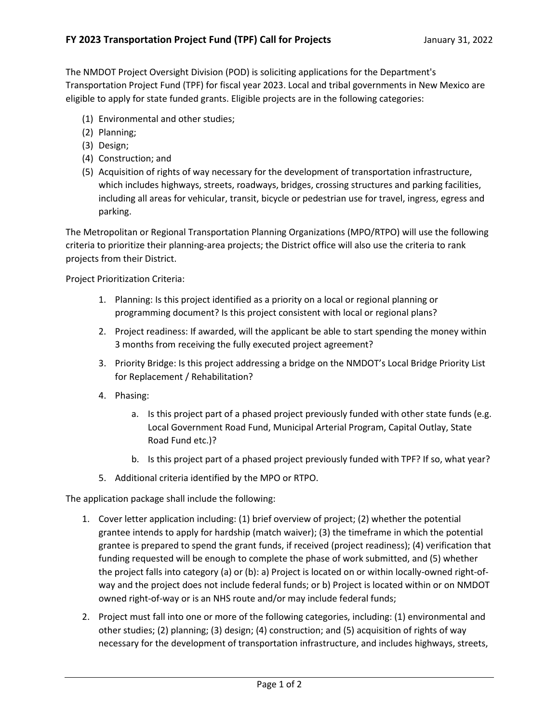The NMDOT Project Oversight Division (POD) is soliciting applications for the Department's Transportation Project Fund (TPF) for fiscal year 2023. Local and tribal governments in New Mexico are eligible to apply for state funded grants. Eligible projects are in the following categories:

- (1) Environmental and other studies;
- (2) Planning;
- (3) Design;
- (4) Construction; and
- (5) Acquisition of rights of way necessary for the development of transportation infrastructure, which includes highways, streets, roadways, bridges, crossing structures and parking facilities, including all areas for vehicular, transit, bicycle or pedestrian use for travel, ingress, egress and parking.

The Metropolitan or Regional Transportation Planning Organizations (MPO/RTPO) will use the following criteria to prioritize their planning-area projects; the District office will also use the criteria to rank projects from their District.

Project Prioritization Criteria:

- 1. Planning: Is this project identified as a priority on a local or regional planning or programming document? Is this project consistent with local or regional plans?
- 2. Project readiness: If awarded, will the applicant be able to start spending the money within 3 months from receiving the fully executed project agreement?
- 3. Priority Bridge: Is this project addressing a bridge on the NMDOT's Local Bridge Priority List for Replacement / Rehabilitation?
- 4. Phasing:
	- a. Is this project part of a phased project previously funded with other state funds (e.g. Local Government Road Fund, Municipal Arterial Program, Capital Outlay, State Road Fund etc.)?
	- b. Is this project part of a phased project previously funded with TPF? If so, what year?
- 5. Additional criteria identified by the MPO or RTPO.

The application package shall include the following:

- 1. Cover letter application including: (1) brief overview of project; (2) whether the potential grantee intends to apply for hardship (match waiver); (3) the timeframe in which the potential grantee is prepared to spend the grant funds, if received (project readiness); (4) verification that funding requested will be enough to complete the phase of work submitted, and (5) whether the project falls into category (a) or (b): a) Project is located on or within locally-owned right-ofway and the project does not include federal funds; or b) Project is located within or on NMDOT owned right-of-way or is an NHS route and/or may include federal funds;
- 2. Project must fall into one or more of the following categories, including: (1) environmental and other studies; (2) planning; (3) design; (4) construction; and (5) acquisition of rights of way necessary for the development of transportation infrastructure, and includes highways, streets,